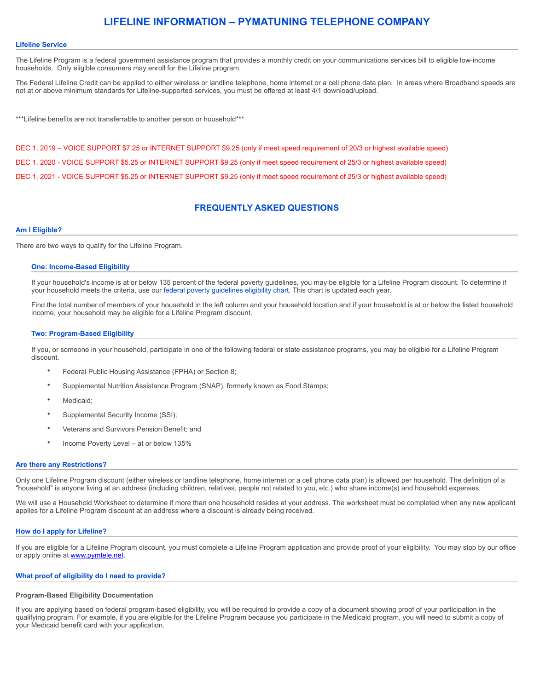# **LIFELINE INFORMATION – PYMATUNING TELEPHONE COMPANY**

# **Lifeline Service**

The Lifeline Program is a federal government assistance program that provides a monthly credit on your communications services bill to eligible low-income households. Only eligible consumers may enroll for the Lifeline program.

The Federal Lifeline Credit can be applied to either wireless or landline telephone, home internet or a cell phone data plan. In areas where Broadband speeds are not at or above minimum standards for Lifeline-supported services, you must be offered at least 4/1 download/upload.

\*\*\*Lifeline benefits are not transferrable to another person or household\*\*\*

DEC 1, 2019 – VOICE SUPPORT \$7.25 or INTERNET SUPPORT \$9.25 (only if meet speed requirement of 20/3 or highest available speed) DEC 1, 2020 - VOICE SUPPORT \$5.25 or INTERNET SUPPORT \$9.25 (only if meet speed requirement of 25/3 or highest available speed) DEC 1, 2021 - VOICE SUPPORT \$5.25 or INTERNET SUPPORT \$9.25 (only if meet speed requirement of 25/3 or highest available speed)

# **FREQUENTLY ASKED QUESTIONS**

# **Am I Eligible?**

There are two ways to qualify for the Lifeline Program.

#### **One: Income-Based Eligibility**

If your household's income is at or below 135 percent of the federal poverty guidelines, you may be eligible for a Lifeline Program discount. To determine if your household meets the criteria, use our [federal poverty guidelines eligibility chart](http://www.lifelinesupport.org/ls/eligibility/federal-poverty-guidelines.aspx). This chart is updated each year.

Find the total number of members of your household in the left column and your household location and if your household is at or below the listed household income, your household may be eligible for a Lifeline Program discount.

#### **Two: Program-Based Eligibility**

If you, or someone in your household, participate in one of the following federal or state assistance programs, you may be eligible for a Lifeline Program discount.

- Federal Public Housing Assistance (FPHA) or Section 8;
- Supplemental Nutrition Assistance Program (SNAP), formerly known as Food Stamps;
- Medicaid;
- Supplemental Security Income (SSI);
- Veterans and Survivors Pension Benefit; and
- Income Poverty Level at or below 135%

#### **Are there any Restrictions?**

Only one Lifeline Program discount (either wireless or landline telephone, home internet or a cell phone data plan) is allowed per household. The definition of a "household" is anyone living at an address (including children, relatives, people not related to you, etc.) who share income(s) and household expenses.

We will use a Household Worksheet to determine if more than one household resides at your address. The worksheet must be completed when any new applicant applies for a Lifeline Program discount at an address where a discount is already being received.

#### **How do I apply for Lifeline?**

If you are eligible for a Lifeline Program discount, you must complete a Lifeline Program application and provide proof of your eligibility. You may stop by our office or apply online at **www.pymtele.net**.

# **What proof of eligibility do I need to provide?**

#### **Program-Based Eligibility Documentation**

If you are applying based on federal program-based eligibility, you will be required to provide a copy of a document showing proof of your participation in the qualifying program. For example, if you are eligible for the Lifeline Program because you participate in the Medicaid program, you will need to submit a copy of your Medicaid benefit card with your application.